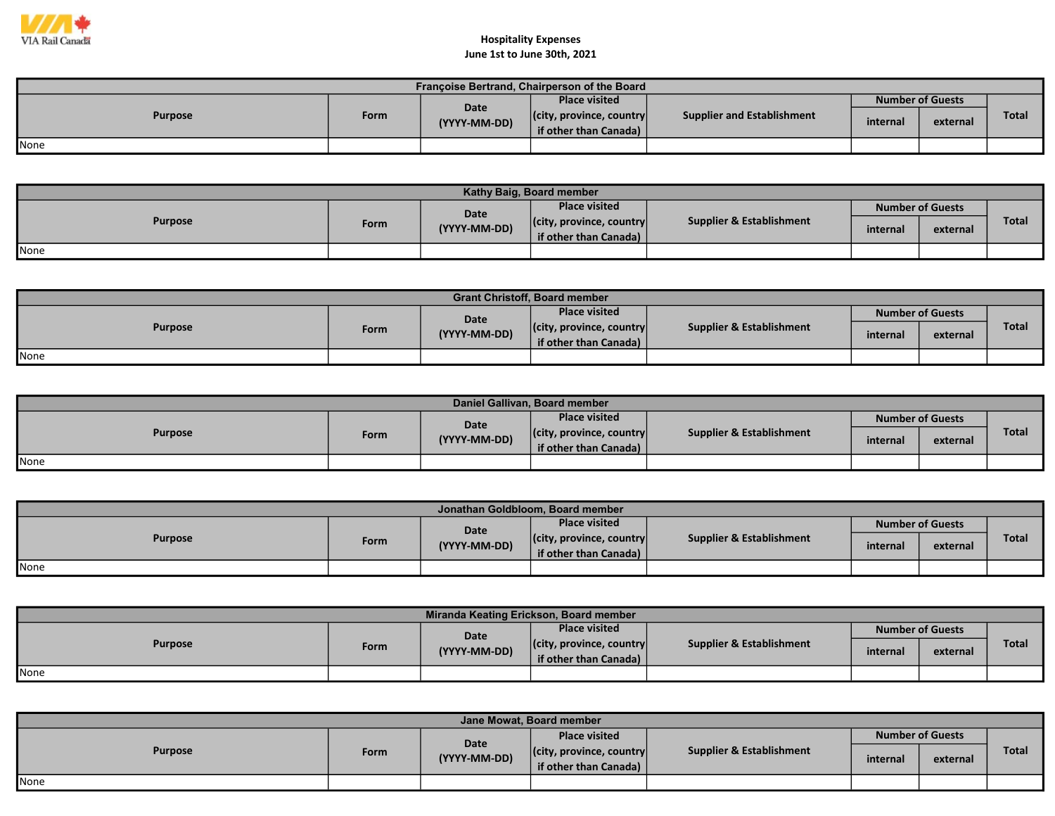

## Hospitality Expenses

|  |  |  |  | June 1st to June 30th, 2021 |  |
|--|--|--|--|-----------------------------|--|
|--|--|--|--|-----------------------------|--|

| Françoise Bertrand, Chairperson of the Board |      |                      |                                  |                            |                         |          |              |  |  |  |
|----------------------------------------------|------|----------------------|----------------------------------|----------------------------|-------------------------|----------|--------------|--|--|--|
| <b>Purpose</b>                               | Form | Date<br>(YYYY-MM-DD) | <b>Place visited</b>             | Supplier and Establishment | <b>Number of Guests</b> |          |              |  |  |  |
|                                              |      |                      | $ $ (city, province, country $ $ |                            | internal                |          | <b>Total</b> |  |  |  |
|                                              |      |                      | if other than Canada)            |                            |                         | external |              |  |  |  |
| <b>None</b>                                  |      |                      |                                  |                            |                         |          |              |  |  |  |

| Kathy Baig, Board member |      |              |                                  |                                     |          |                         |              |  |  |  |
|--------------------------|------|--------------|----------------------------------|-------------------------------------|----------|-------------------------|--------------|--|--|--|
| <b>Purpose</b>           | Form | Date         | <b>Place visited</b>             |                                     |          | <b>Number of Guests</b> |              |  |  |  |
|                          |      | (YYYY-MM-DD) | $ $ (city, province, country $ $ | <b>Supplier &amp; Establishment</b> | internal | external                | <b>Total</b> |  |  |  |
|                          |      |              | if other than Canada)            |                                     |          |                         |              |  |  |  |
| <b>I</b> None            |      |              |                                  |                                     |          |                         |              |  |  |  |

| <b>Grant Christoff, Board member</b> |      |              |                                  |                                     |          |                         |              |  |  |  |
|--------------------------------------|------|--------------|----------------------------------|-------------------------------------|----------|-------------------------|--------------|--|--|--|
| <b>Purpose</b>                       |      | <b>Date</b>  | <b>Place visited</b>             | <b>Supplier &amp; Establishment</b> |          | <b>Number of Guests</b> |              |  |  |  |
|                                      | Form | (YYYY-MM-DD) | $ $ (city, province, country $ $ |                                     | internal | external                | <b>Total</b> |  |  |  |
|                                      |      |              | if other than Canada)            |                                     |          |                         |              |  |  |  |
| None                                 |      |              |                                  |                                     |          |                         |              |  |  |  |

| Daniel Gallivan, Board member |      |                      |                                  |                          |                  |          |       |  |  |  |
|-------------------------------|------|----------------------|----------------------------------|--------------------------|------------------|----------|-------|--|--|--|
| <b>Purpose</b>                | Form | Date<br>(YYYY-MM-DD) | <b>Place visited</b>             | Supplier & Establishment | Number of Guests |          |       |  |  |  |
|                               |      |                      | $ $ (city, province, country $ $ |                          | internal         |          | Total |  |  |  |
|                               |      |                      | if other than Canada)            |                          |                  | external |       |  |  |  |
| <b>None</b>                   |      |                      |                                  |                          |                  |          |       |  |  |  |

| Jonathan Goldbloom, Board member |      |                             |                                  |                                     |                         |          |              |  |  |  |
|----------------------------------|------|-----------------------------|----------------------------------|-------------------------------------|-------------------------|----------|--------------|--|--|--|
| <b>Purpose</b>                   | Form | <b>Date</b><br>(YYYY-MM-DD) | <b>Place visited</b>             | <b>Supplier &amp; Establishment</b> | <b>Number of Guests</b> |          |              |  |  |  |
|                                  |      |                             | $ $ (city, province, country $ $ |                                     | internal                | external | <b>Total</b> |  |  |  |
|                                  |      |                             | if other than Canada)            |                                     |                         |          |              |  |  |  |
| None                             |      |                             |                                  |                                     |                         |          |              |  |  |  |

| Miranda Keating Erickson, Board member |             |              |                                  |                          |          |                         |              |  |  |  |  |
|----------------------------------------|-------------|--------------|----------------------------------|--------------------------|----------|-------------------------|--------------|--|--|--|--|
| <b>Purpose</b>                         |             | <b>Date</b>  | <b>Place visited</b>             |                          |          | <b>Number of Guests</b> |              |  |  |  |  |
|                                        | <b>Form</b> | (YYYY-MM-DD) | $ $ (city, province, country $ $ | Supplier & Establishment | internal | external                | <b>Total</b> |  |  |  |  |
|                                        |             |              | if other than Canada)            |                          |          |                         |              |  |  |  |  |
| <b>None</b>                            |             |              |                                  |                          |          |                         |              |  |  |  |  |

| Jane Mowat, Board member |      |                      |                                  |                                     |                         |          |       |  |  |  |
|--------------------------|------|----------------------|----------------------------------|-------------------------------------|-------------------------|----------|-------|--|--|--|
| <b>Purpose</b>           | Form | Date<br>(YYYY-MM-DD) | <b>Place visited</b>             | <b>Supplier &amp; Establishment</b> | <b>Number of Guests</b> |          |       |  |  |  |
|                          |      |                      | $ $ (city, province, country $ $ |                                     | internal                | external | Total |  |  |  |
|                          |      |                      | if other than Canada)            |                                     |                         |          |       |  |  |  |
| <b>None</b>              |      |                      |                                  |                                     |                         |          |       |  |  |  |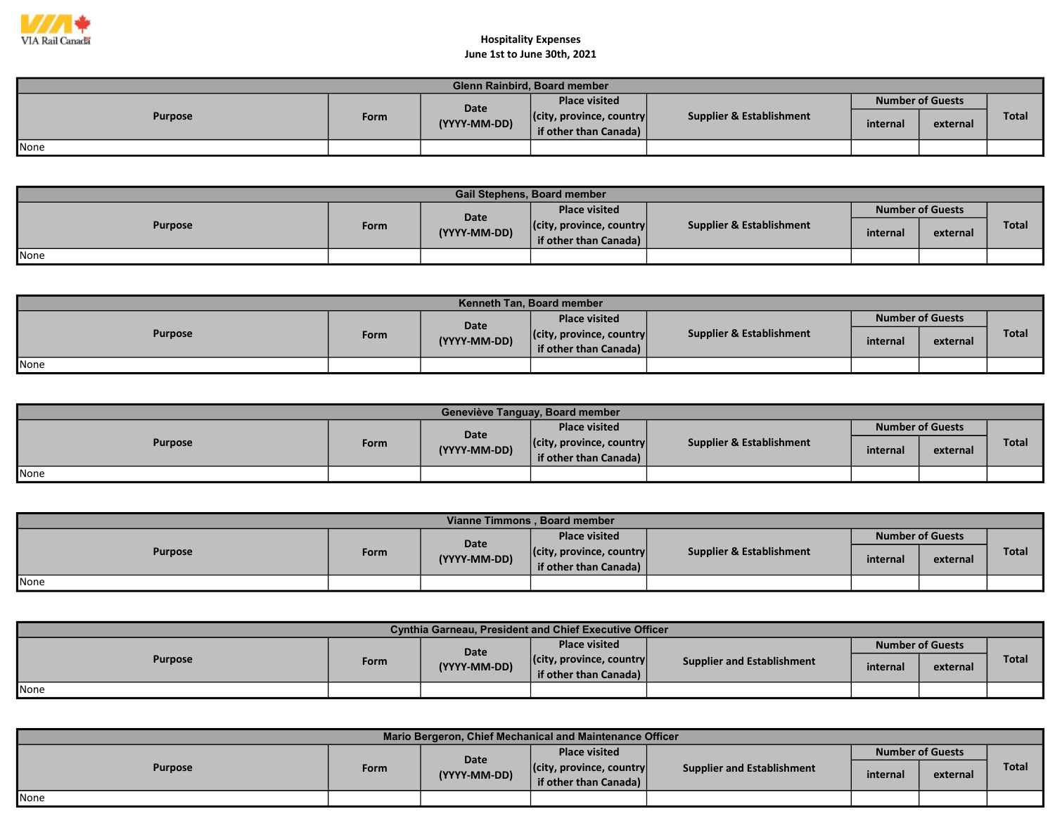

## Hospitality Expenses June 1st to June 30th, 2021

| <b>Glenn Rainbird, Board member</b> |      |                      |                                  |                          |                         |          |              |  |  |  |
|-------------------------------------|------|----------------------|----------------------------------|--------------------------|-------------------------|----------|--------------|--|--|--|
| <b>Purpose</b>                      | Form | Date<br>(YYYY-MM-DD) | <b>Place visited</b>             |                          | <b>Number of Guests</b> |          |              |  |  |  |
|                                     |      |                      | $ $ (city, province, country $ $ | Supplier & Establishment | internal                | external | <b>Total</b> |  |  |  |
|                                     |      |                      | if other than Canada)            |                          |                         |          |              |  |  |  |
| None                                |      |                      |                                  |                          |                         |          |              |  |  |  |

| <b>Gail Stephens, Board member</b> |      |              |                                  |                          |                         |          |              |  |  |  |
|------------------------------------|------|--------------|----------------------------------|--------------------------|-------------------------|----------|--------------|--|--|--|
| <b>Purpose</b>                     | Form | Date         | <b>Place visited</b>             |                          | <b>Number of Guests</b> |          |              |  |  |  |
|                                    |      | (YYYY-MM-DD) | $ $ (city, province, country $ $ | Supplier & Establishment | internal                | external | <b>Total</b> |  |  |  |
|                                    |      |              | if other than Canada)            |                          |                         |          |              |  |  |  |
| None                               |      |              |                                  |                          |                         |          |              |  |  |  |

| <b>Kenneth Tan. Board member</b> |      |                             |                                  |                                     |                         |          |              |  |  |  |
|----------------------------------|------|-----------------------------|----------------------------------|-------------------------------------|-------------------------|----------|--------------|--|--|--|
| <b>Purpose</b>                   | Form | <b>Date</b><br>(YYYY-MM-DD) | <b>Place visited</b>             | <b>Supplier &amp; Establishment</b> | <b>Number of Guests</b> |          |              |  |  |  |
|                                  |      |                             | $ $ (city, province, country $ $ |                                     | internal                | external | <b>Total</b> |  |  |  |
|                                  |      |                             | if other than Canada)            |                                     |                         |          |              |  |  |  |
| None                             |      |                             |                                  |                                     |                         |          |              |  |  |  |

| Geneviève Tanguay, Board member |      |                      |                                                           |                          |                         |          |              |  |  |  |  |
|---------------------------------|------|----------------------|-----------------------------------------------------------|--------------------------|-------------------------|----------|--------------|--|--|--|--|
| <b>Purpose</b>                  | Form | Date<br>(YYYY-MM-DD) | <b>Place visited</b>                                      |                          | <b>Number of Guests</b> |          |              |  |  |  |  |
|                                 |      |                      | $ $ (city, province, country $ $<br>if other than Canada) | Supplier & Establishment | internal                | external | <b>Total</b> |  |  |  |  |
| None                            |      |                      |                                                           |                          |                         |          |              |  |  |  |  |

| Vianne Timmons, Board member |             |              |                                                           |                          |          |                         |       |  |  |  |
|------------------------------|-------------|--------------|-----------------------------------------------------------|--------------------------|----------|-------------------------|-------|--|--|--|
| <b>Purpose</b>               |             | <b>Date</b>  | <b>Place visited</b>                                      |                          |          | <b>Number of Guests</b> |       |  |  |  |
|                              | <b>Form</b> | (YYYY-MM-DD) | $ $ (city, province, country $ $<br>if other than Canada) | Supplier & Establishment | internal | external                | Total |  |  |  |
| None                         |             |              |                                                           |                          |          |                         |       |  |  |  |

| <b>Cynthia Garneau, President and Chief Executive Officer</b> |      |              |                                  |                                   |          |                         |              |  |  |  |
|---------------------------------------------------------------|------|--------------|----------------------------------|-----------------------------------|----------|-------------------------|--------------|--|--|--|
| <b>Purpose</b>                                                |      | Date         | <b>Place visited</b>             |                                   |          | <b>Number of Guests</b> |              |  |  |  |
|                                                               | Form | (YYYY-MM-DD) | $ $ (city, province, country $ $ | <b>Supplier and Establishment</b> | internal | external                | <b>Total</b> |  |  |  |
|                                                               |      |              | if other than Canada)            |                                   |          |                         |              |  |  |  |
| <b>None</b>                                                   |      |              |                                  |                                   |          |                         |              |  |  |  |

| Mario Bergeron, Chief Mechanical and Maintenance Officer |      |                      |                                  |                            |                         |          |              |  |  |  |  |
|----------------------------------------------------------|------|----------------------|----------------------------------|----------------------------|-------------------------|----------|--------------|--|--|--|--|
| <b>Purpose</b>                                           | Form | Date<br>(YYYY-MM-DD) | <b>Place visited</b>             |                            | <b>Number of Guests</b> |          |              |  |  |  |  |
|                                                          |      |                      | $ $ (city, province, country $ $ | Supplier and Establishment | internal                | external | <b>Total</b> |  |  |  |  |
|                                                          |      |                      | if other than Canada)            |                            |                         |          |              |  |  |  |  |
| None                                                     |      |                      |                                  |                            |                         |          |              |  |  |  |  |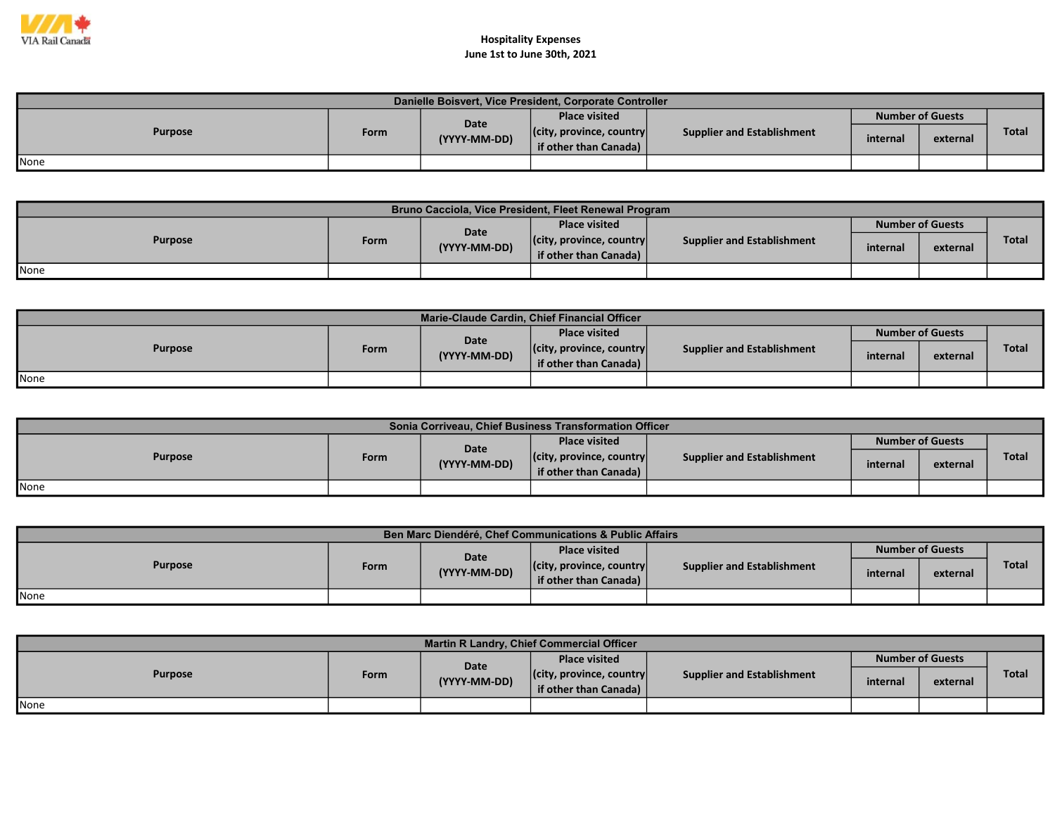

## Hospitality Expenses June 1st to June 30th, 2021

| Danielle Boisvert, Vice President, Corporate Controller |      |              |                                                           |                                   |                         |          |              |  |  |  |
|---------------------------------------------------------|------|--------------|-----------------------------------------------------------|-----------------------------------|-------------------------|----------|--------------|--|--|--|
|                                                         |      | Date         | <b>Place visited</b>                                      |                                   | <b>Number of Guests</b> |          |              |  |  |  |
| <b>Purpose</b>                                          | Form | (YYYY-MM-DD) | $ $ (city, province, country $ $<br>if other than Canada) | <b>Supplier and Establishment</b> | internal                | external | <b>Total</b> |  |  |  |
| <b>I</b> None                                           |      |              |                                                           |                                   |                         |          |              |  |  |  |

| Bruno Cacciola, Vice President, Fleet Renewal Program |      |              |                                                           |                            |          |                         |              |  |  |  |  |
|-------------------------------------------------------|------|--------------|-----------------------------------------------------------|----------------------------|----------|-------------------------|--------------|--|--|--|--|
| <b>Purpose</b>                                        |      | <b>Date</b>  | <b>Place visited</b>                                      |                            |          | <b>Number of Guests</b> |              |  |  |  |  |
|                                                       | Form | (YYYY-MM-DD) | $ $ (city, province, country $ $<br>if other than Canada) | Supplier and Establishment | internal | external                | <b>Total</b> |  |  |  |  |
| <b>I</b> None                                         |      |              |                                                           |                            |          |                         |              |  |  |  |  |

| Marie-Claude Cardin, Chief Financial Officer |      |              |                                  |                            |                         |          |              |  |  |  |
|----------------------------------------------|------|--------------|----------------------------------|----------------------------|-------------------------|----------|--------------|--|--|--|
| <b>Purpose</b>                               |      | Date         | <b>Place visited</b>             | Supplier and Establishment | <b>Number of Guests</b> |          |              |  |  |  |
|                                              | Form | (YYYY-MM-DD) | $ $ (city, province, country $ $ |                            | internal                | external | <b>Total</b> |  |  |  |
|                                              |      |              | if other than Canada)            |                            |                         |          |              |  |  |  |
| <b>I</b> None                                |      |              |                                  |                            |                         |          |              |  |  |  |

| Sonia Corriveau, Chief Business Transformation Officer |      |              |                                  |                                   |          |                         |              |  |  |  |  |
|--------------------------------------------------------|------|--------------|----------------------------------|-----------------------------------|----------|-------------------------|--------------|--|--|--|--|
| <b>Purpose</b>                                         |      | Date         | <b>Place visited</b>             | <b>Supplier and Establishment</b> |          | <b>Number of Guests</b> |              |  |  |  |  |
|                                                        | Form | (YYYY-MM-DD) | $ $ (city, province, country $ $ |                                   | internal | external                | <b>Total</b> |  |  |  |  |
|                                                        |      |              | if other than Canada)            |                                   |          |                         |              |  |  |  |  |
| <b>I</b> None                                          |      |              |                                  |                                   |          |                         |              |  |  |  |  |

| Ben Marc Diendéré, Chef Communications & Public Affairs |      |              |                                  |                            |                         |          |       |  |  |  |  |
|---------------------------------------------------------|------|--------------|----------------------------------|----------------------------|-------------------------|----------|-------|--|--|--|--|
| <b>Purpose</b>                                          |      | Date         | <b>Place visited</b>             |                            | <b>Number of Guests</b> |          |       |  |  |  |  |
|                                                         | Form | (YYYY-MM-DD) | $ $ (city, province, country $ $ | Supplier and Establishment | internal                | external | Total |  |  |  |  |
|                                                         |      |              | if other than Canada)            |                            |                         |          |       |  |  |  |  |
| <b>None</b>                                             |      |              |                                  |                            |                         |          |       |  |  |  |  |

| <b>Martin R Landry, Chief Commercial Officer</b> |      |              |                                  |                                   |          |                         |              |  |  |  |
|--------------------------------------------------|------|--------------|----------------------------------|-----------------------------------|----------|-------------------------|--------------|--|--|--|
| <b>Purpose</b>                                   |      | Date         | <b>Place visited</b>             |                                   |          | <b>Number of Guests</b> |              |  |  |  |
|                                                  | Form | (YYYY-MM-DD) | $ $ (city, province, country $ $ | <b>Supplier and Establishment</b> | internal | external                | <b>Total</b> |  |  |  |
|                                                  |      |              | if other than Canada)            |                                   |          |                         |              |  |  |  |
| None                                             |      |              |                                  |                                   |          |                         |              |  |  |  |